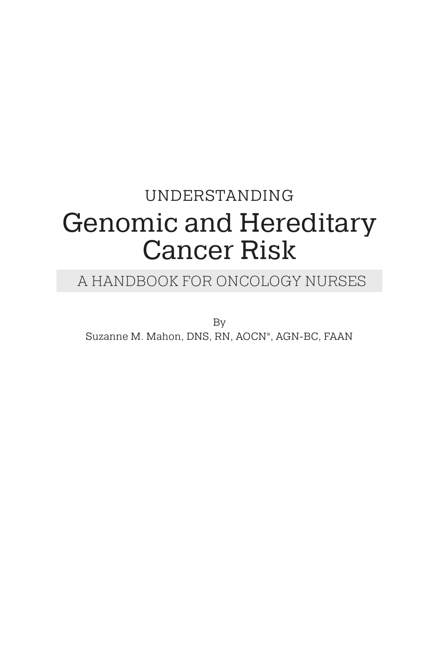# UNDERSTANDING Genomic and Hereditary Cancer Risk

## A HANDBOOK FOR ONCOLOGY NURSES

By Suzanne M. Mahon, DNS, RN, AOCN®, AGN-BC, FAAN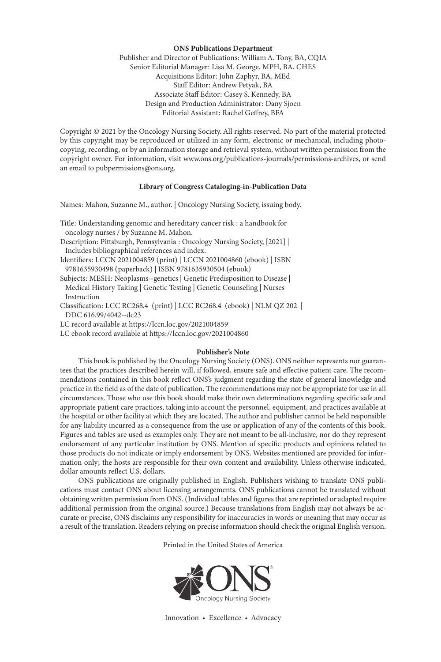#### **ONS Publications Department**

Publisher and Director of Publications: William A. Tony, BA, CQIA Senior Editorial Manager: Lisa M. George, MPH, BA, CHES Acquisitions Editor: John Zaphyr, BA, MEd Staff Editor: Andrew Petyak, BA Associate Staff Editor: Casey S. Kennedy, BA Design and Production Administrator: Dany Sjoen Editorial Assistant: Rachel Geffrey, BFA

Copyright © 2021 by the Oncology Nursing Society. All rights reserved. No part of the material protected by this copyright may be reproduced or utilized in any form, electronic or mechanical, including photocopying, recording, or by an information storage and retrieval system, without written permission from the copyright owner. For information, visit www.ons.org/publications-journals/permissions-archives, or send an email to pubpermissions@ons.org.

### **Library of Congress Cataloging-in-Publication Data**

Names: Mahon, Suzanne M., author. | Oncology Nursing Society, issuing body.

- Title: Understanding genomic and hereditary cancer risk : a handbook for oncology nurses / by Suzanne M. Mahon.
- Description: Pittsburgh, Pennsylvania : Oncology Nursing Society, [2021] | Includes bibliographical references and index.
- Identifiers: LCCN 2021004859 (print) | LCCN 2021004860 (ebook) | ISBN 9781635930498 (paperback) | ISBN 9781635930504 (ebook)
- Subjects: MESH: Neoplasms--genetics | Genetic Predisposition to Disease | Medical History Taking | Genetic Testing | Genetic Counseling | Nurses Instruction
- Classification: LCC RC268.4 (print) | LCC RC268.4 (ebook) | NLM QZ 202 | DDC 616.99/4042--dc23
- LC record available at https://lccn.loc.gov/2021004859
- LC ebook record available at https://lccn.loc.gov/2021004860

#### **Publisher's Note**

This book is published by the Oncology Nursing Society (ONS). ONS neither represents nor guarantees that the practices described herein will, if followed, ensure safe and effective patient care. The recommendations contained in this book reflect ONS's judgment regarding the state of general knowledge and practice in the field as of the date of publication. The recommendations may not be appropriate for use in all circumstances. Those who use this book should make their own determinations regarding specific safe and appropriate patient care practices, taking into account the personnel, equipment, and practices available at the hospital or other facility at which they are located. The author and publisher cannot be held responsible for any liability incurred as a consequence from the use or application of any of the contents of this book. Figures and tables are used as examples only. They are not meant to be all-inclusive, nor do they represent endorsement of any particular institution by ONS. Mention of specific products and opinions related to those products do not indicate or imply endorsement by ONS. Websites mentioned are provided for information only; the hosts are responsible for their own content and availability. Unless otherwise indicated, dollar amounts reflect U.S. dollars.

ONS publications are originally published in English. Publishers wishing to translate ONS publications must contact ONS about licensing arrangements. ONS publications cannot be translated without obtaining written permission from ONS. (Individual tables and figures that are reprinted or adapted require additional permission from the original source.) Because translations from English may not always be accurate or precise, ONS disclaims any responsibility for inaccuracies in words or meaning that may occur as a result of the translation. Readers relying on precise information should check the original English version.

Printed in the United States of America



Innovation • Excellence • Advocacy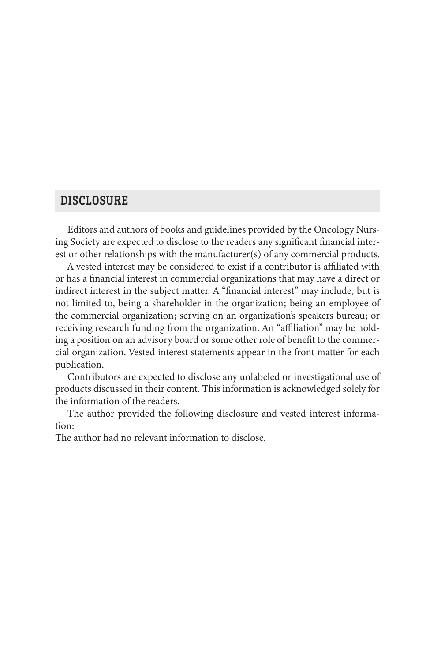## **DISCLOSURE**

Editors and authors of books and guidelines provided by the Oncology Nursing Society are expected to disclose to the readers any significant financial interest or other relationships with the manufacturer(s) of any commercial products.

A vested interest may be considered to exist if a contributor is affiliated with or has a financial interest in commercial organizations that may have a direct or indirect interest in the subject matter. A "financial interest" may include, but is not limited to, being a shareholder in the organization; being an employee of the commercial organization; serving on an organization's speakers bureau; or receiving research funding from the organization. An "affiliation" may be holding a position on an advisory board or some other role of benefit to the commercial organization. Vested interest statements appear in the front matter for each publication.

Contributors are expected to disclose any unlabeled or investigational use of products discussed in their content. This information is acknowledged solely for the information of the readers.

The author provided the following disclosure and vested interest information:

The author had no relevant information to disclose.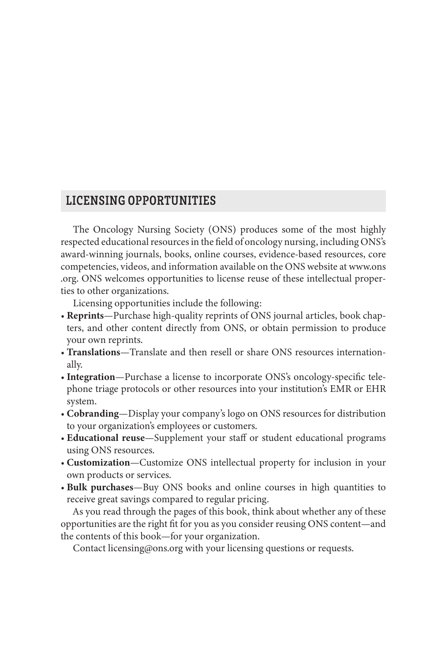## **LICENSING OPPORTUNITIES**

The Oncology Nursing Society (ONS) produces some of the most highly respected educational resources in the field of oncology nursing, including ONS's award-winning journals, books, online courses, evidence-based resources, core competencies, videos, and information available on the ONS website at www.ons .org. ONS welcomes opportunities to license reuse of these intellectual properties to other organizations.

Licensing opportunities include the following:

- **Reprints**—Purchase high-quality reprints of ONS journal articles, book chapters, and other content directly from ONS, or obtain permission to produce your own reprints.
- **Translations**—Translate and then resell or share ONS resources internationally.
- **Integration**—Purchase a license to incorporate ONS's oncology-specific telephone triage protocols or other resources into your institution's EMR or EHR system.
- **Cobranding**—Display your company's logo on ONS resources for distribution to your organization's employees or customers.
- **Educational reuse**—Supplement your staff or student educational programs using ONS resources.
- **Customization**—Customize ONS intellectual property for inclusion in your own products or services.
- **Bulk purchases**—Buy ONS books and online courses in high quantities to receive great savings compared to regular pricing.

As you read through the pages of this book, think about whether any of these opportunities are the right fit for you as you consider reusing ONS content—and the contents of this book—for your organization.

Contact licensing@ons.org with your licensing questions or requests.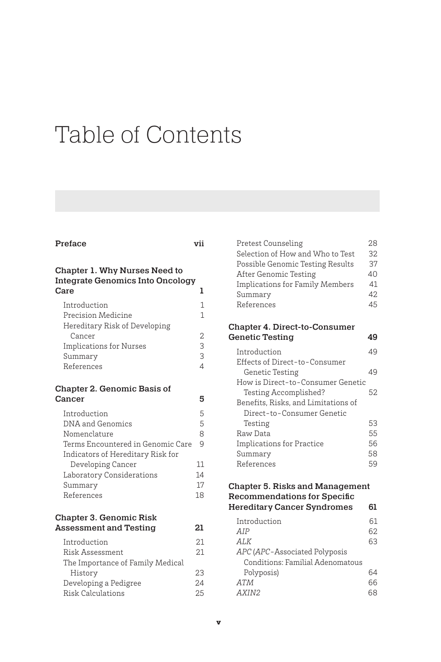# Table of Contents

| Preface | Vll |
|---------|-----|
|         |     |

| Chapter 1. Why Nurses Need to<br>Integrate Genomics Into Oncology |   |
|-------------------------------------------------------------------|---|
| Care                                                              |   |
| Introduction                                                      |   |
| Precision Medicine                                                | 1 |
| Hereditary Risk of Developing                                     |   |
| Cancer                                                            | 2 |
| Implications for Nurses                                           | 3 |
| Summary                                                           | 3 |
| References                                                        |   |
|                                                                   |   |
| Chapter 2. Genomic Basis of                                       |   |
| Cancer                                                            |   |

| Introduction                      | 5  |
|-----------------------------------|----|
| DNA and Genomics                  | 5  |
| Nomenclature                      | 8  |
| Terms Encountered in Genomic Care | q  |
| Indicators of Hereditary Risk for |    |
| Developing Cancer                 | 11 |
| Laboratory Considerations         | 14 |
| Summary                           | 17 |
| References                        | 18 |
|                                   |    |

### Chapter 3. Genomic Risk

| Assessment and Testing | 21 |
|------------------------|----|
|                        |    |

| Introduction                     | 21  |
|----------------------------------|-----|
| Risk Assessment                  | 21  |
| The Importance of Family Medical |     |
| History                          | 23  |
| Developing a Pedigree            | 2.4 |
| Risk Calculations                | 2.5 |
|                                  |     |

| Pretest Counseling                     | 28 |
|----------------------------------------|----|
| Selection of How and Who to Test       | 32 |
| Possible Genomic Testing Results       | 37 |
| After Genomic Testing                  | 40 |
| <b>Implications for Family Members</b> | 41 |
| Summary                                | 42 |
| References                             | 45 |
|                                        |    |

| Chapter 4. Direct-to-Consumer |    |
|-------------------------------|----|
| Genetic Testing               | 49 |

| Introduction                        |    |
|-------------------------------------|----|
| Effects of Direct-to-Consumer       |    |
| Genetic Testing                     | 49 |
| How is Direct-to-Consumer Genetic   |    |
| Testing Accomplished?               | 52 |
| Benefits, Risks, and Limitations of |    |
| Direct-to-Consumer Genetic          |    |
| Testing                             | 53 |
| Raw Data                            | 55 |
| Implications for Practice           | 56 |
| Summary                             | 58 |
| References                          | 59 |

### Chapter 5. Risks and Management Recommendations for Specific Hereditary Cancer Syndromes 61

| Introduction                     | 61 |
|----------------------------------|----|
| AIP                              | 62 |
| ALK                              | 63 |
| APC (APC-Associated Polyposis    |    |
| Conditions: Familial Adenomatous |    |
| Polyposis)                       | 64 |
| ATM                              |    |
| AXIN2                            |    |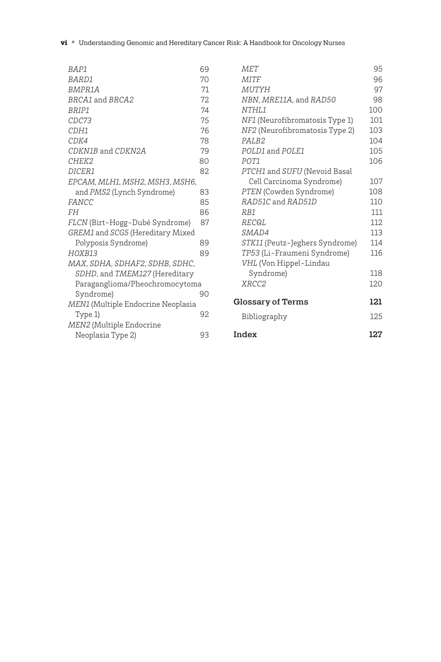| <b>BAP1</b>                        | 69 |
|------------------------------------|----|
| BARD1                              | 70 |
| <b>BMPR1A</b>                      | 71 |
| BRCA1 and BRCA2                    | 72 |
| BRIP1                              | 74 |
| CDC73                              | 75 |
| CDH1                               | 76 |
| CDK4                               | 78 |
| CDKN1B and CDKN2A                  | 79 |
| CHEK2                              | 80 |
| DICER1                             | 82 |
| EPCAM, MLH1, MSH2, MSH3, MSH6,     |    |
| and PMS2 (Lynch Syndrome)          | 83 |
| FANCC                              | 85 |
| FH                                 | 86 |
| FLCN (Birt-Hogg-Dubé Syndrome)     | 87 |
| GREM1 and SCG5 (Hereditary Mixed   |    |
| Polyposis Syndrome)                | 89 |
| HOXR13                             | 89 |
| MAX, SDHA, SDHAF2, SDHB, SDHC,     |    |
| SDHD, and TMEM127 (Hereditary      |    |
| Paraganglioma/Pheochromocytoma     |    |
| Syndrome)                          | 90 |
| MEN1 (Multiple Endocrine Neoplasia |    |
| Type 1)                            | 92 |
| MEN2 (Multiple Endocrine           |    |
| Neoplasia Type 2)                  | 93 |
|                                    |    |

| <b>MET</b>                     | 95  |
|--------------------------------|-----|
| <b>MITF</b>                    | 96  |
| <b>MUTYH</b>                   | 97  |
| NBN, MRE11A, and RAD50         | 98  |
| NTHI.1                         | 100 |
| NF1 (Neurofibromatosis Type 1) | 101 |
| NF2 (Neurofibromatosis Type 2) | 103 |
| PALB <sub>2</sub>              | 104 |
| POLD1 and POLE1                | 105 |
| POT1                           | 106 |
| PTCH1 and SUFU (Nevoid Basal   |     |
| Cell Carcinoma Syndrome)       | 107 |
| PTEN (Cowden Syndrome)         | 108 |
| RAD51C and RAD51D              | 110 |
| $R$ $R$ $1$                    | 111 |
| RECQL                          | 112 |
| SMAD4                          | 113 |
| STK11 (Peutz-Jeghers Syndrome) | 114 |
| TP53 (Li-Fraumeni Syndrome)    | 116 |
| VHL (Von Hippel-Lindau         |     |
| Syndrome)                      | 118 |
| XRCC <sub>2</sub>              | 120 |
| <b>Glossary of Terms</b>       | 121 |
| Bibliography                   | 125 |
| Index                          | 127 |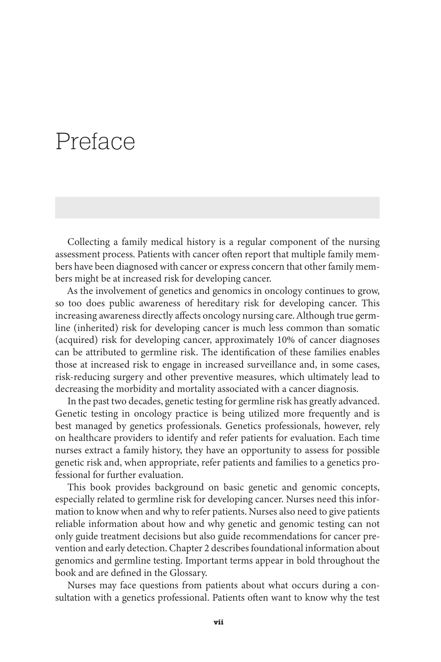## Preface

Collecting a family medical history is a regular component of the nursing assessment process. Patients with cancer often report that multiple family members have been diagnosed with cancer or express concern that other family members might be at increased risk for developing cancer.

As the involvement of genetics and genomics in oncology continues to grow, so too does public awareness of hereditary risk for developing cancer. This increasing awareness directly affects oncology nursing care. Although true germline (inherited) risk for developing cancer is much less common than somatic (acquired) risk for developing cancer, approximately 10% of cancer diagnoses can be attributed to germline risk. The identification of these families enables those at increased risk to engage in increased surveillance and, in some cases, risk-reducing surgery and other preventive measures, which ultimately lead to decreasing the morbidity and mortality associated with a cancer diagnosis.

In the past two decades, genetic testing for germline risk has greatly advanced. Genetic testing in oncology practice is being utilized more frequently and is best managed by genetics professionals. Genetics professionals, however, rely on healthcare providers to identify and refer patients for evaluation. Each time nurses extract a family history, they have an opportunity to assess for possible genetic risk and, when appropriate, refer patients and families to a genetics professional for further evaluation.

This book provides background on basic genetic and genomic concepts, especially related to germline risk for developing cancer. Nurses need this information to know when and why to refer patients. Nurses also need to give patients reliable information about how and why genetic and genomic testing can not only guide treatment decisions but also guide recommendations for cancer prevention and early detection. Chapter 2 describes foundational information about genomics and germline testing. Important terms appear in bold throughout the book and are defined in the Glossary.

Nurses may face questions from patients about what occurs during a consultation with a genetics professional. Patients often want to know why the test